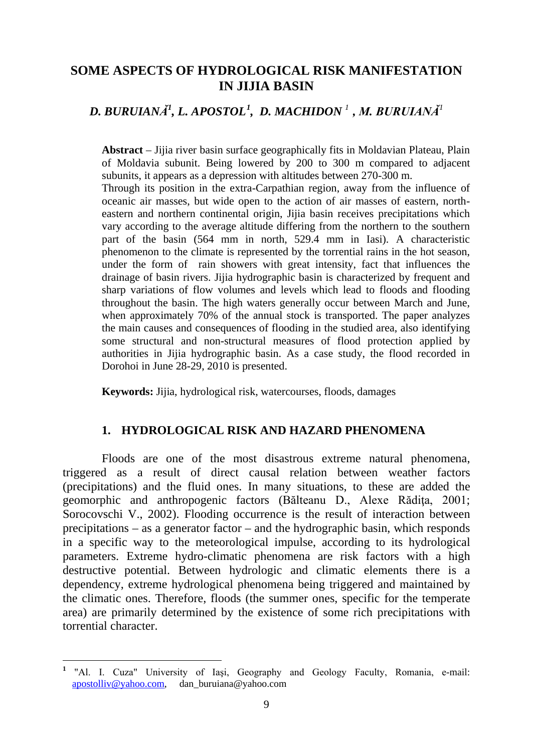## **SOME ASPECTS OF HYDROLOGICAL RISK MANIFESTATION IN JIJIA BASIN**

# *D. BURUIANĂ<sup>1</sup> , L. APOSTOL[1](#page-0-0) , D. MACHIDON <sup>1</sup>, M. BURUIANĂ<sup>1</sup>*

**Abstract** – Jijia river basin surface geographically fits in Moldavian Plateau, Plain of Moldavia subunit. Being lowered by 200 to 300 m compared to adjacent subunits, it appears as a depression with altitudes between 270-300 m.

Through its position in the extra-Carpathian region, away from the influence of oceanic air masses, but wide open to the action of air masses of eastern, northeastern and northern continental origin, Jijia basin receives precipitations which vary according to the average altitude differing from the northern to the southern part of the basin (564 mm in north, 529.4 mm in Iasi). A characteristic phenomenon to the climate is represented by the torrential rains in the hot season, under the form of rain showers with great intensity, fact that influences the drainage of basin rivers. Jijia hydrographic basin is characterized by frequent and sharp variations of flow volumes and levels which lead to floods and flooding throughout the basin. The high waters generally occur between March and June, when approximately 70% of the annual stock is transported. The paper analyzes the main causes and consequences of flooding in the studied area, also identifying some structural and non-structural measures of flood protection applied by authorities in Jijia hydrographic basin. As a case study, the flood recorded in Dorohoi in June 28-29, 2010 is presented.

**Keywords:** Jijia, hydrological risk, watercourses, floods, damages

### **1. HYDROLOGICAL RISK AND HAZARD PHENOMENA**

Floods are one of the most disastrous extreme natural phenomena, triggered as a result of direct causal relation between weather factors (precipitations) and the fluid ones. In many situations, to these are added the geomorphic and anthropogenic factors (Bălteanu D., Alexe Rădiţa, 2001; Sorocovschi V., 2002). Flooding occurrence is the result of interaction between precipitations – as a generator factor – and the hydrographic basin, which responds in a specific way to the meteorological impulse, according to its hydrological parameters. Extreme hydro-climatic phenomena are risk factors with a high destructive potential. Between hydrologic and climatic elements there is a dependency, extreme hydrological phenomena being triggered and maintained by the climatic ones. Therefore, floods (the summer ones, specific for the temperate area) are primarily determined by the existence of some rich precipitations with torrential character.

<span id="page-0-0"></span>**<sup>1</sup>** "Al. I. Cuza" University of Iaşi, Geography and Geology Faculty, Romania, e-mail: [apostolliv@yahoo.com,](mailto:apostolliv@yahoo.com) dan\_buruiana@yahoo.com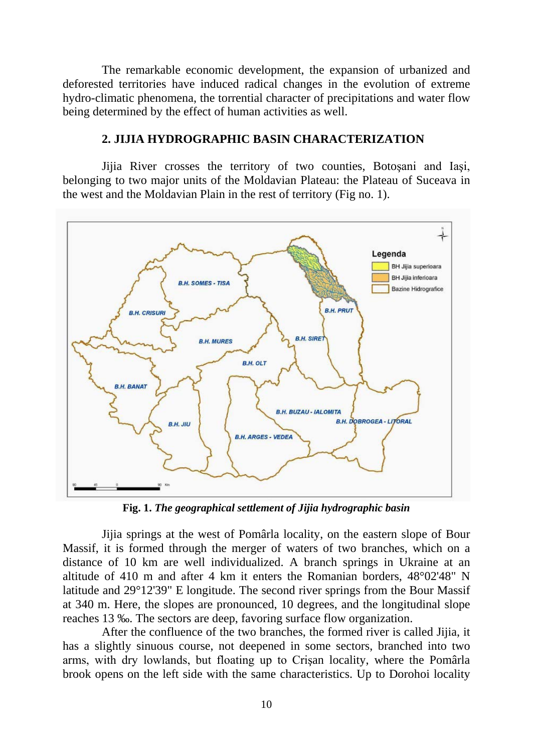The remarkable economic development, the expansion of urbanized and deforested territories have induced radical changes in the evolution of extreme hydro-climatic phenomena, the torrential character of precipitations and water flow being determined by the effect of human activities as well.

### **2. JIJIA HYDROGRAPHIC BASIN CHARACTERIZATION**

Jijia River crosses the territory of two counties, Botoşani and Iaşi, belonging to two major units of the Moldavian Plateau: the Plateau of Suceava in the west and the Moldavian Plain in the rest of territory (Fig no. 1).



**Fig. 1.** *The geographical settlement of Jijia hydrographic basin*

Jijia springs at the west of Pomârla locality, on the eastern slope of Bour Massif, it is formed through the merger of waters of two branches, which on a distance of 10 km are well individualized. A branch springs in Ukraine at an altitude of 410 m and after 4 km it enters the Romanian borders, 48°02'48" N latitude and 29°12'39" E longitude. The second river springs from the Bour Massif at 340 m. Here, the slopes are pronounced, 10 degrees, and the longitudinal slope reaches 13 ‰. The sectors are deep, favoring surface flow organization.

After the confluence of the two branches, the formed river is called Jijia, it has a slightly sinuous course, not deepened in some sectors, branched into two arms, with dry lowlands, but floating up to Crişan locality, where the Pomârla brook opens on the left side with the same characteristics. Up to Dorohoi locality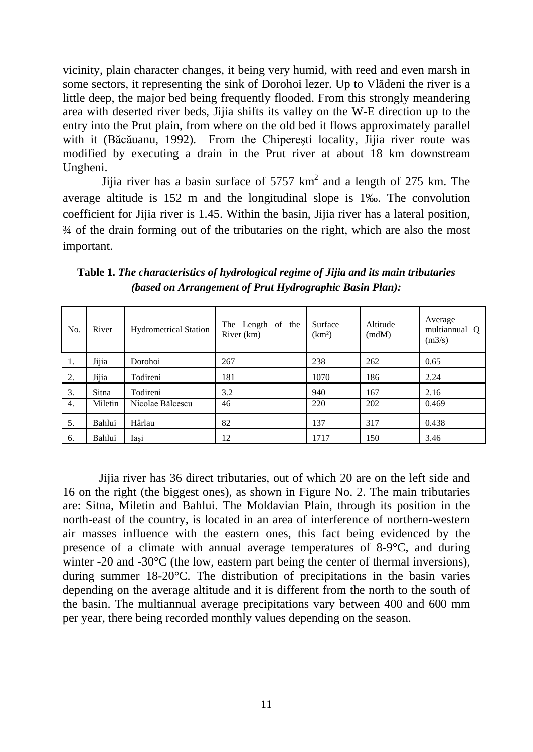vicinity, plain character changes, it being very humid, with reed and even marsh in some sectors, it representing the sink of Dorohoi lezer. Up to Vlădeni the river is a little deep, the major bed being frequently flooded. From this strongly meandering area with deserted river beds, Jijia shifts its valley on the W-E direction up to the entry into the Prut plain, from where on the old bed it flows approximately parallel with it (Băcăuanu, 1992). From the Chipereşti locality, Jijia river route was modified by executing a drain in the Prut river at about 18 km downstream Ungheni.

Jijia river has a basin surface of  $5757 \text{ km}^2$  and a length of 275 km. The average altitude is 152 m and the longitudinal slope is 1‰. The convolution coefficient for Jijia river is 1.45. Within the basin, Jijia river has a lateral position, ¾ of the drain forming out of the tributaries on the right, which are also the most important.

| No. | River   | <b>Hydrometrical Station</b> | The Length of the<br>River (km) | Surface<br>(km <sup>2</sup> ) | Altitude<br>(mdM) | Average<br>multiannual Q<br>(m3/s) |
|-----|---------|------------------------------|---------------------------------|-------------------------------|-------------------|------------------------------------|
| 1.  | Jijia   | Dorohoi                      | 267                             | 238                           | 262               | 0.65                               |
| 2.  | Jijia   | Todireni                     | 181                             | 1070                          | 186               | 2.24                               |
| 3.  | Sitna   | Todireni                     | 3.2                             | 940                           | 167               | 2.16                               |
| 4.  | Miletin | Nicolae Bălcescu             | 46                              | 220                           | 202               | 0.469                              |
| 5.  | Bahlui  | Hârlau                       | 82                              | 137                           | 317               | 0.438                              |
| 6.  | Bahlui  | Iași                         | 12                              | 1717                          | 150               | 3.46                               |

**Table 1.** *The characteristics of hydrological regime of Jijia and its main tributaries (based on Arrangement of Prut Hydrographic Basin Plan):*

 Jijia river has 36 direct tributaries, out of which 20 are on the left side and 16 on the right (the biggest ones), as shown in Figure No. 2. The main tributaries are: Sitna, Miletin and Bahlui. The Moldavian Plain, through its position in the north-east of the country, is located in an area of interference of northern-western air masses influence with the eastern ones, this fact being evidenced by the presence of a climate with annual average temperatures of 8-9°C, and during winter -20 and -30<sup>o</sup>C (the low, eastern part being the center of thermal inversions), during summer 18-20°C. The distribution of precipitations in the basin varies depending on the average altitude and it is different from the north to the south of the basin. The multiannual average precipitations vary between 400 and 600 mm per year, there being recorded monthly values depending on the season.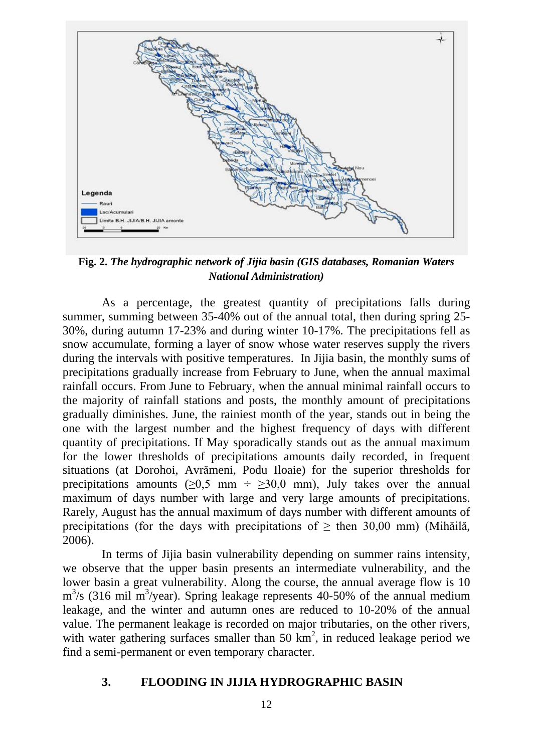

**Fig. 2.** *The hydrographic network of Jijia basin (GIS databases, Romanian Waters National Administration)*

As a percentage, the greatest quantity of precipitations falls during summer, summing between 35-40% out of the annual total, then during spring 25- 30%, during autumn 17-23% and during winter 10-17%. The precipitations fell as snow accumulate, forming a layer of snow whose water reserves supply the rivers during the intervals with positive temperatures. In Jijia basin, the monthly sums of precipitations gradually increase from February to June, when the annual maximal rainfall occurs. From June to February, when the annual minimal rainfall occurs to the majority of rainfall stations and posts, the monthly amount of precipitations gradually diminishes. June, the rainiest month of the year, stands out in being the one with the largest number and the highest frequency of days with different quantity of precipitations. If May sporadically stands out as the annual maximum for the lower thresholds of precipitations amounts daily recorded, in frequent situations (at Dorohoi, Avrămeni, Podu Iloaie) for the superior thresholds for precipitations amounts ( $>0.5$  mm ÷  $>30.0$  mm), July takes over the annual maximum of days number with large and very large amounts of precipitations. Rarely, August has the annual maximum of days number with different amounts of precipitations (for the days with precipitations of  $\geq$  then 30,00 mm) (Mihăilă, 2006).

In terms of Jijia basin vulnerability depending on summer rains intensity, we observe that the upper basin presents an intermediate vulnerability, and the lower basin a great vulnerability. Along the course, the annual average flow is 10  $\text{m}^3$ /s (316 mil m<sup>3</sup>/year). Spring leakage represents 40-50% of the annual medium leakage, and the winter and autumn ones are reduced to 10-20% of the annual value. The permanent leakage is recorded on major tributaries, on the other rivers, with water gathering surfaces smaller than 50  $km^2$ , in reduced leakage period we find a semi-permanent or even temporary character.

### **3. FLOODING IN JIJIA HYDROGRAPHIC BASIN**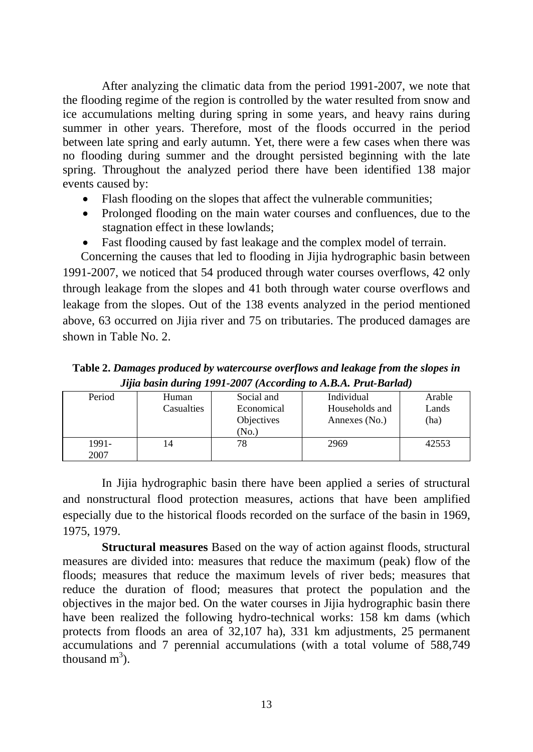After analyzing the climatic data from the period 1991-2007, we note that the flooding regime of the region is controlled by the water resulted from snow and ice accumulations melting during spring in some years, and heavy rains during summer in other years. Therefore, most of the floods occurred in the period between late spring and early autumn. Yet, there were a few cases when there was no flooding during summer and the drought persisted beginning with the late spring. Throughout the analyzed period there have been identified 138 major events caused by:

- Flash flooding on the slopes that affect the vulnerable communities;
- Prolonged flooding on the main water courses and confluences, due to the stagnation effect in these lowlands;
- Fast flooding caused by fast leakage and the complex model of terrain.

 Concerning the causes that led to flooding in Jijia hydrographic basin between 1991-2007, we noticed that 54 produced through water courses overflows, 42 only through leakage from the slopes and 41 both through water course overflows and leakage from the slopes. Out of the 138 events analyzed in the period mentioned above, 63 occurred on Jijia river and 75 on tributaries. The produced damages are shown in Table No. 2.

**Table 2.** *Damages produced by watercourse overflows and leakage from the slopes in Jijia basin during 1991-2007 (According to A.B.A. Prut-Barlad)*

| Period | Human      | Social and | Individual     | Arable |
|--------|------------|------------|----------------|--------|
|        | Casualties | Economical | Households and | Lands  |
|        |            | Objectives | Annexes (No.)  | (ha)   |
|        |            | No.)       |                |        |
| 1991-  | 14         |            | 2969           | 42553  |
| 2007   |            |            |                |        |

In Jijia hydrographic basin there have been applied a series of structural and nonstructural flood protection measures, actions that have been amplified especially due to the historical floods recorded on the surface of the basin in 1969, 1975, 1979.

**Structural measures** Based on the way of action against floods, structural measures are divided into: measures that reduce the maximum (peak) flow of the floods; measures that reduce the maximum levels of river beds; measures that reduce the duration of flood; measures that protect the population and the objectives in the major bed. On the water courses in Jijia hydrographic basin there have been realized the following hydro-technical works: 158 km dams (which protects from floods an area of 32,107 ha), 331 km adjustments, 25 permanent accumulations and 7 perennial accumulations (with a total volume of 588,749 thousand  $m<sup>3</sup>$ ).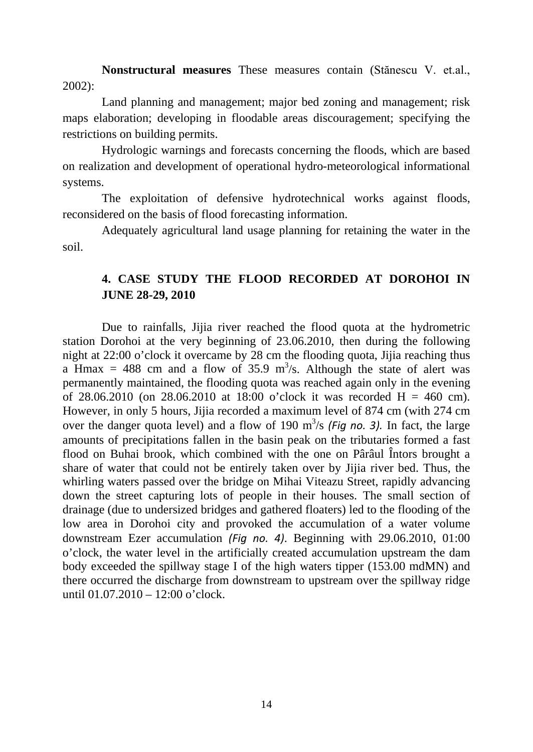**Nonstructural measures** These measures contain (Stănescu V. et.al., 2002):

Land planning and management; major bed zoning and management; risk maps elaboration; developing in floodable areas discouragement; specifying the restrictions on building permits.

Hydrologic warnings and forecasts concerning the floods, which are based on realization and development of operational hydro-meteorological informational systems.

The exploitation of defensive hydrotechnical works against floods, reconsidered on the basis of flood forecasting information.

Adequately agricultural land usage planning for retaining the water in the soil.

# **4. CASE STUDY THE FLOOD RECORDED AT DOROHOI IN JUNE 28-29, 2010**

Due to rainfalls, Jijia river reached the flood quota at the hydrometric station Dorohoi at the very beginning of 23.06.2010, then during the following night at 22:00 o'clock it overcame by 28 cm the flooding quota, Jijia reaching thus a Hmax = 488 cm and a flow of 35.9 m<sup>3</sup>/s. Although the state of alert was permanently maintained, the flooding quota was reached again only in the evening of 28.06.2010 (on 28.06.2010 at 18:00 o'clock it was recorded  $H = 460$  cm). However, in only 5 hours, Jijia recorded a maximum level of 874 cm (with 274 cm over the danger quota level) and a flow of 190  $\text{m}^3\text{/s}$  (*Fig no. 3*). In fact, the large amounts of precipitations fallen in the basin peak on the tributaries formed a fast flood on Buhai brook, which combined with the one on Pârâul Întors brought a share of water that could not be entirely taken over by Jijia river bed. Thus, the whirling waters passed over the bridge on Mihai Viteazu Street, rapidly advancing down the street capturing lots of people in their houses. The small section of drainage (due to undersized bridges and gathered floaters) led to the flooding of the low area in Dorohoi city and provoked the accumulation of a water volume downstream Ezer accumulation *(Fig no. 4)*. Beginning with 29.06.2010, 01:00 o'clock, the water level in the artificially created accumulation upstream the dam body exceeded the spillway stage I of the high waters tipper (153.00 mdMN) and there occurred the discharge from downstream to upstream over the spillway ridge until 01.07.2010 – 12:00 o'clock.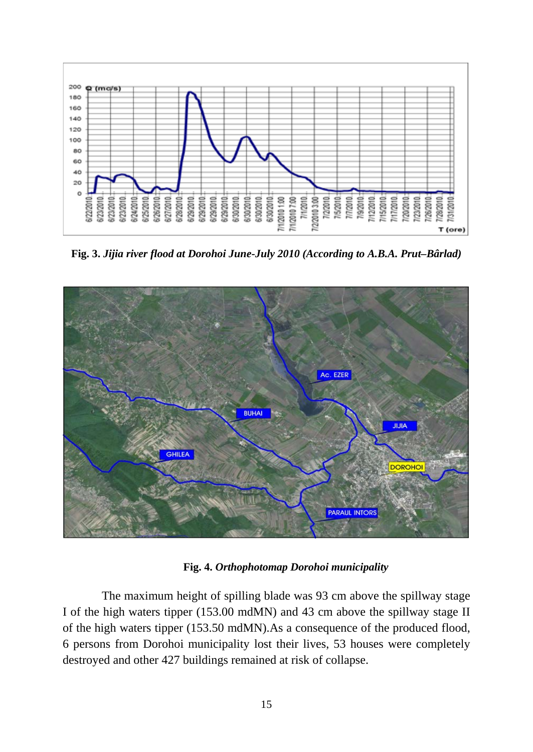

**Fig. 3.** *Jijia river flood at Dorohoi June-July 2010 (According to A.B.A. Prut–Bârlad)*



**Fig. 4.** *Orthophotomap Dorohoi municipality*

The maximum height of spilling blade was 93 cm above the spillway stage I of the high waters tipper (153.00 mdMN) and 43 cm above the spillway stage II of the high waters tipper (153.50 mdMN).As a consequence of the produced flood, 6 persons from Dorohoi municipality lost their lives, 53 houses were completely destroyed and other 427 buildings remained at risk of collapse.